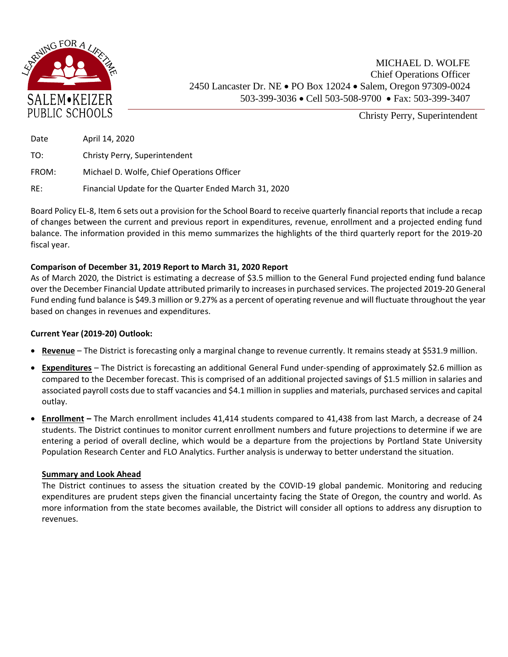

Christy Perry, Superintendent

| Date  | April 14, 2020                                        |
|-------|-------------------------------------------------------|
| TO:   | Christy Perry, Superintendent                         |
| FROM: | Michael D. Wolfe, Chief Operations Officer            |
| RE:   | Financial Update for the Quarter Ended March 31, 2020 |

Board Policy EL-8, Item 6 sets out a provision for the School Board to receive quarterly financial reports that include a recap of changes between the current and previous report in expenditures, revenue, enrollment and a projected ending fund balance. The information provided in this memo summarizes the highlights of the third quarterly report for the 2019-20 fiscal year.

## **Comparison of December 31, 2019 Report to March 31, 2020 Report**

As of March 2020, the District is estimating a decrease of \$3.5 million to the General Fund projected ending fund balance over the December Financial Update attributed primarily to increases in purchased services. The projected 2019‐20 General Fund ending fund balance is \$49.3 million or 9.27% as a percent of operating revenue and will fluctuate throughout the year based on changes in revenues and expenditures.

## **Current Year (2019-20) Outlook:**

- **Revenue** The District is forecasting only a marginal change to revenue currently. It remains steady at \$531.9 million.
- **Expenditures** The District is forecasting an additional General Fund under-spending of approximately \$2.6 million as compared to the December forecast. This is comprised of an additional projected savings of \$1.5 million in salaries and associated payroll costs due to staff vacancies and \$4.1 million in supplies and materials, purchased services and capital outlay.
- **Enrollment –** The March enrollment includes 41,414 students compared to 41,438 from last March, a decrease of 24 students. The District continues to monitor current enrollment numbers and future projections to determine if we are entering a period of overall decline, which would be a departure from the projections by Portland State University Population Research Center and FLO Analytics. Further analysis is underway to better understand the situation.

## **Summary and Look Ahead**

The District continues to assess the situation created by the COVID-19 global pandemic. Monitoring and reducing expenditures are prudent steps given the financial uncertainty facing the State of Oregon, the country and world. As more information from the state becomes available, the District will consider all options to address any disruption to revenues.